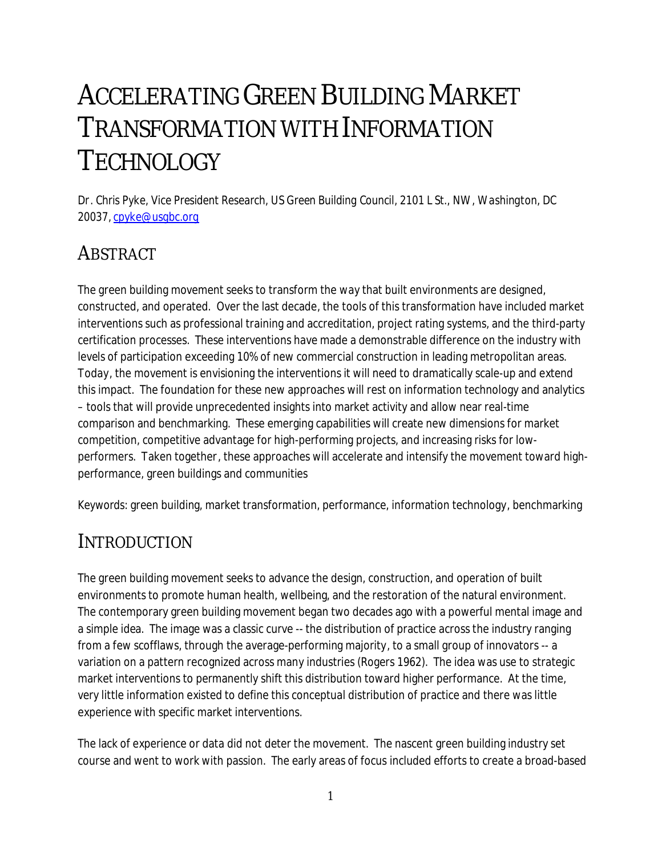# ACCELERATING GREEN BUILDING MARKET TRANSFORMATION WITH INFORMATION **TECHNOLOGY**

*Dr. Chris Pyke, Vice President Research, US Green Building Council, 2101 L St., NW, Washington, DC 20037, [cpyke@usgbc.org](mailto:cpyke@usgbc.org)* 

### ABSTRACT

The green building movement seeks to transform the way that built environments are designed, constructed, and operated. Over the last decade, the tools of this transformation have included market interventions such as professional training and accreditation, project rating systems, and the third-party certification processes. These interventions have made a demonstrable difference on the industry with levels of participation exceeding 10% of new commercial construction in leading metropolitan areas. Today, the movement is envisioning the interventions it will need to dramatically scale-up and extend this impact. The foundation for these new approaches will rest on information technology and analytics – tools that will provide unprecedented insights into market activity and allow near real-time comparison and benchmarking. These emerging capabilities will create new dimensions for market competition, competitive advantage for high-performing projects, and increasing risks for lowperformers. Taken together, these approaches will accelerate and intensify the movement toward highperformance, green buildings and communities

*Keywords:* green building, market transformation, performance, information technology, benchmarking

### **INTRODUCTION**

The green building movement seeks to advance the design, construction, and operation of built environments to promote human health, wellbeing, and the restoration of the natural environment. The contemporary green building movement began two decades ago with a powerful mental image and a simple idea. The image was a classic curve -- the distribution of practice across the industry ranging from a few scofflaws, through the average-performing majority, to a small group of innovators -- a variation on a pattern recognized across many industries (Rogers 1962). The idea was use to strategic market interventions to permanently shift this distribution toward higher performance. At the time, very little information existed to define this conceptual distribution of practice and there was little experience with specific market interventions.

The lack of experience or data did not deter the movement. The nascent green building industry set course and went to work with passion. The early areas of focus included efforts to create a broad-based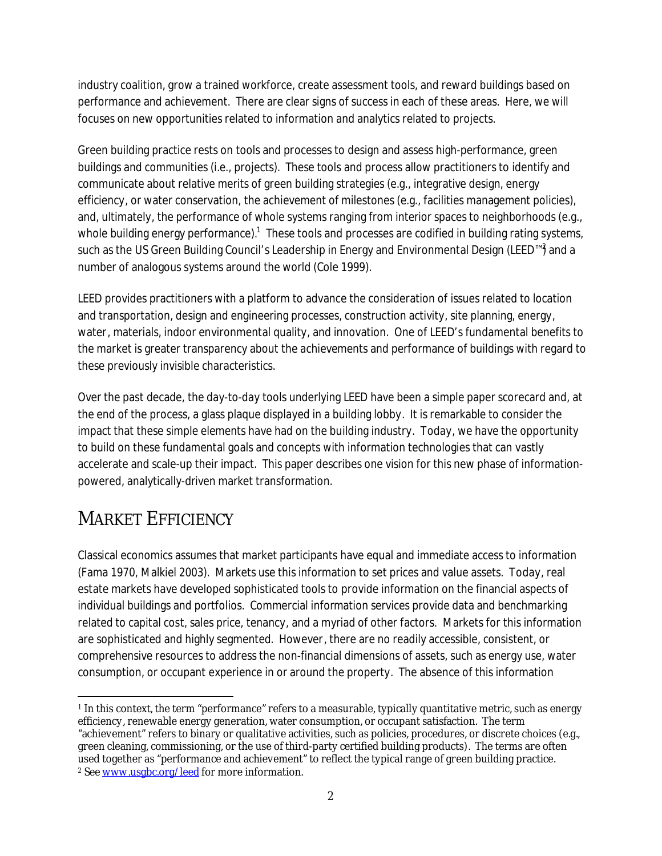industry coalition, grow a trained workforce, create assessment tools, and reward buildings based on performance and achievement. There are clear signs of success in each of these areas. Here, we will focuses on new opportunities related to information and analytics related to projects.

Green building practice rests on tools and processes to design and assess high-performance, green buildings and communities (i.e., projects). These tools and process allow practitioners to identify and communicate about relative merits of green building strategies (e.g., integrative design, energy efficiency, or water conservation, the achievement of milestones (e.g., facilities management policies), and, ultimately, the performance of whole systems ranging from interior spaces to neighborhoods (e.g., whole building energy performance). $^1$  These tools and processes are codified in building rating systems, such as the US Green Building Council's Leadership in Energy and Environmental Design (LEED™) and a number of analogous systems around the world (Cole 1999).

LEED provides practitioners with a platform to advance the consideration of issues related to location and transportation, design and engineering processes, construction activity, site planning, energy, water, materials, indoor environmental quality, and innovation. One of LEED's fundamental benefits to the market is greater transparency about the achievements and performance of buildings with regard to these previously invisible characteristics.

Over the past decade, the day-to-day tools underlying LEED have been a simple paper scorecard and, at the end of the process, a glass plaque displayed in a building lobby. It is remarkable to consider the impact that these simple elements have had on the building industry. Today, we have the opportunity to build on these fundamental goals and concepts with information technologies that can vastly accelerate and scale-up their impact. This paper describes one vision for this new phase of informationpowered, analytically-driven market transformation.

### **MARKET EFFICIENCY**

Classical economics assumes that market participants have equal and immediate access to information (Fama 1970, Malkiel 2003). Markets use this information to set prices and value assets. Today, real estate markets have developed sophisticated tools to provide information on the financial aspects of individual buildings and portfolios. Commercial information services provide data and benchmarking related to capital cost, sales price, tenancy, and a myriad of other factors. Markets for this information are sophisticated and highly segmented. However, there are no readily accessible, consistent, or comprehensive resources to address the non-financial dimensions of assets, such as energy use, water consumption, or occupant experience in or around the property. The absence of this information

<sup>-</sup><sup>1</sup> In this context, the term "performance" refers to a measurable, typically quantitative metric, such as energy efficiency, renewable energy generation, water consumption, or occupant satisfaction. The term "achievement" refers to binary or qualitative activities, such as policies, procedures, or discrete choices (e.g., green cleaning, commissioning, or the use of third-party certified building products). The terms are often used together as "performance and achievement" to reflect the typical range of green building practice. <sup>2</sup> See [www.usgbc.org/leed](http://www.usgbc.org/leed) for more information.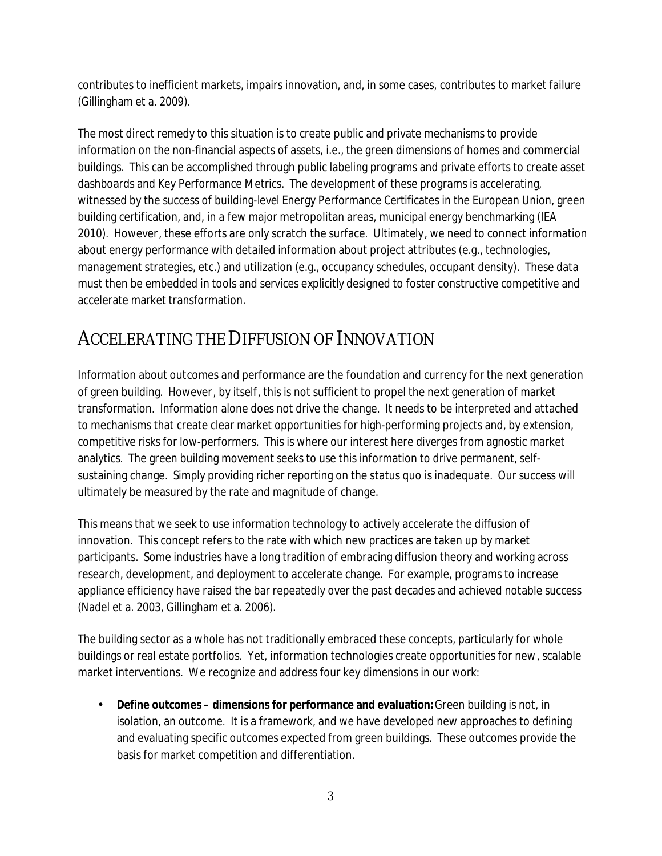contributes to inefficient markets, impairs innovation, and, in some cases, contributes to market failure (Gillingham et a. 2009).

The most direct remedy to this situation is to create public and private mechanisms to provide information on the non-financial aspects of assets, i.e., the green dimensions of homes and commercial buildings. This can be accomplished through public labeling programs and private efforts to create asset dashboards and Key Performance Metrics. The development of these programs is accelerating, witnessed by the success of building-level Energy Performance Certificates in the European Union, green building certification, and, in a few major metropolitan areas, municipal energy benchmarking (IEA 2010). However, these efforts are only scratch the surface. Ultimately, we need to connect information about energy performance with detailed information about project attributes (e.g., technologies, management strategies, etc.) and utilization (e.g., occupancy schedules, occupant density). These data must then be embedded in tools and services explicitly designed to foster constructive competitive and accelerate market transformation.

# ACCELERATING THE DIFFUSION OF INNOVATION

Information about outcomes and performance are the foundation and currency for the next generation of green building. However, by itself, this is not sufficient to propel the next generation of market transformation. Information alone does not drive the change. It needs to be interpreted and attached to mechanisms that create clear market opportunities for high-performing projects and, by extension, competitive risks for low-performers. This is where our interest here diverges from agnostic market analytics. The green building movement seeks to use this information to drive permanent, selfsustaining change. Simply providing richer reporting on the status quo is inadequate. Our success will ultimately be measured by the rate and magnitude of change.

This means that we seek to use information technology to actively accelerate the diffusion of innovation. This concept refers to the rate with which new practices are taken up by market participants. Some industries have a long tradition of embracing diffusion theory and working across research, development, and deployment to accelerate change. For example, programs to increase appliance efficiency have raised the bar repeatedly over the past decades and achieved notable success (Nadel et a. 2003, Gillingham et a. 2006).

The building sector as a whole has not traditionally embraced these concepts, particularly for whole buildings or real estate portfolios. Yet, information technologies create opportunities for new, scalable market interventions. We recognize and address four key dimensions in our work:

• **Define outcomes – dimensions for performance and evaluation:** Green building is not, in isolation, an outcome. It is a framework, and we have developed new approaches to defining and evaluating specific outcomes expected from green buildings. These outcomes provide the basis for market competition and differentiation.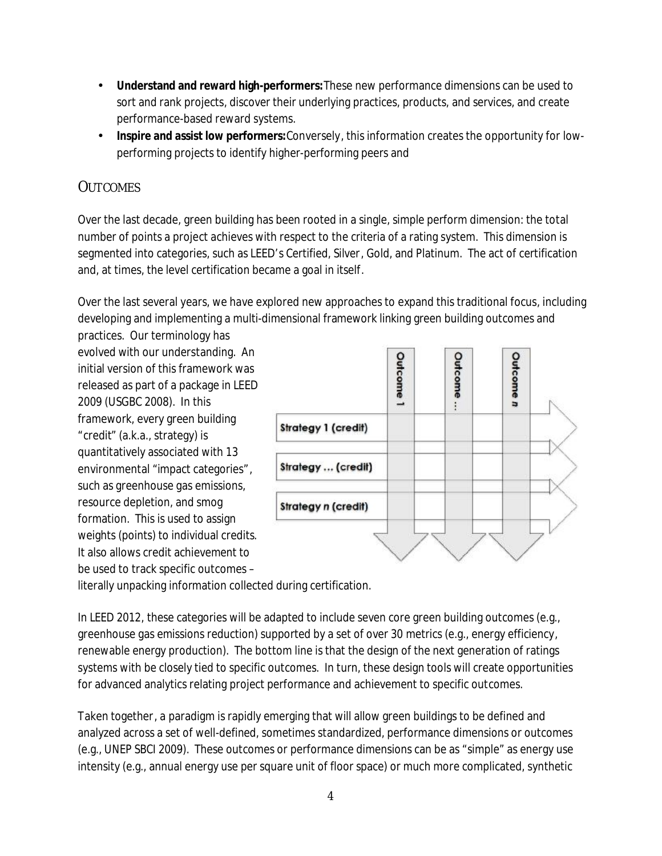- **Understand and reward high-performers:** These new performance dimensions can be used to sort and rank projects, discover their underlying practices, products, and services, and create performance-based reward systems.
- **Inspire and assist low performers:** Conversely, this information creates the opportunity for lowperforming projects to identify higher-performing peers and

### **OUTCOMES**

Over the last decade, green building has been rooted in a single, simple perform dimension: the total number of points a project achieves with respect to the criteria of a rating system. This dimension is segmented into categories, such as LEED's Certified, Silver, Gold, and Platinum. The act of certification and, at times, the level certification became a goal in itself.

Over the last several years, we have explored new approaches to expand this traditional focus, including developing and implementing a multi-dimensional framework linking green building outcomes and

practices. Our terminology has evolved with our understanding. An initial version of this framework was released as part of a package in LEED 2009 (USGBC 2008). In this framework, every green building "credit" (a.k.a., strategy) is quantitatively associated with 13 environmental "impact categories", such as greenhouse gas emissions, resource depletion, and smog formation. This is used to assign weights (points) to individual credits. It also allows credit achievement to be used to track specific outcomes –



literally unpacking information collected during certification.

In LEED 2012, these categories will be adapted to include seven core green building outcomes (e.g., greenhouse gas emissions reduction) supported by a set of over 30 metrics (e.g., energy efficiency, renewable energy production). The bottom line is that the design of the next generation of ratings systems with be closely tied to specific outcomes. In turn, these design tools will create opportunities for advanced analytics relating project performance and achievement to specific outcomes.

Taken together, a paradigm is rapidly emerging that will allow green buildings to be defined and analyzed across a set of well-defined, sometimes standardized, performance dimensions or outcomes (e.g., UNEP SBCI 2009). These outcomes or performance dimensions can be as "simple" as energy use intensity (e.g., annual energy use per square unit of floor space) or much more complicated, synthetic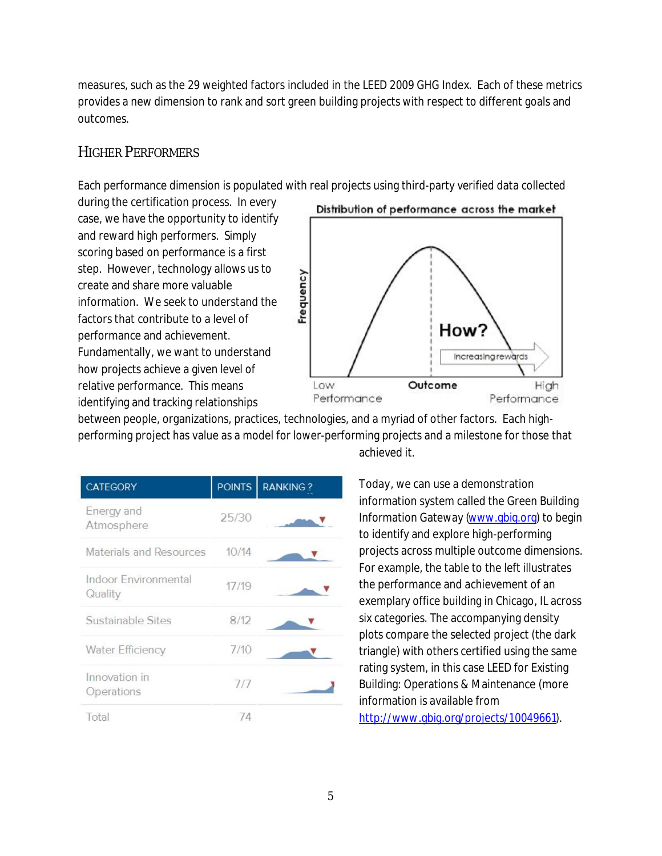measures, such as the 29 weighted factors included in the LEED 2009 GHG Index. Each of these metrics provides a new dimension to rank and sort green building projects with respect to different goals and outcomes.

#### HIGHER PERFORMERS

Each performance dimension is populated with real projects using third-party verified data collected

during the certification process. In every case, we have the opportunity to identify and reward high performers. Simply scoring based on performance is a first step. However, technology allows us to create and share more valuable information. We seek to understand the factors that contribute to a level of performance and achievement. Fundamentally, we want to understand *how* projects achieve a given level of relative performance. This means identifying and tracking relationships



between people, organizations, practices, technologies, and a myriad of other factors. Each highperforming project has value as a model for lower-performing projects and a milestone for those that achieved it.

| CATEGORY                        | <b>POINTS</b> | <b>RANKING?</b> |
|---------------------------------|---------------|-----------------|
| Energy and<br>Atmosphere        | 25/30         |                 |
| Materials and Resources         | 10/14         |                 |
| Indoor Environmental<br>Quality | 17/19         |                 |
| Sustainable Sites               | 8/12          |                 |
| Water Efficiency                | 7/10          |                 |
| Innovation in<br>Operations     | 7/7           |                 |
| Total                           | 74            |                 |

Today, we can use a demonstration information system called the Green Building Information Gateway [\(www.gbig.org](http://www.gbig.org)) to begin to identify and explore high-performing projects across multiple outcome dimensions. For example, the table to the left illustrates the performance and achievement of an exemplary office building in Chicago, IL across six categories. The accompanying density plots compare the selected project (the dark triangle) with others certified using the same rating system, in this case LEED for Existing Building: Operations & Maintenance (more information is available from <http://www.gbig.org/projects/10049661>).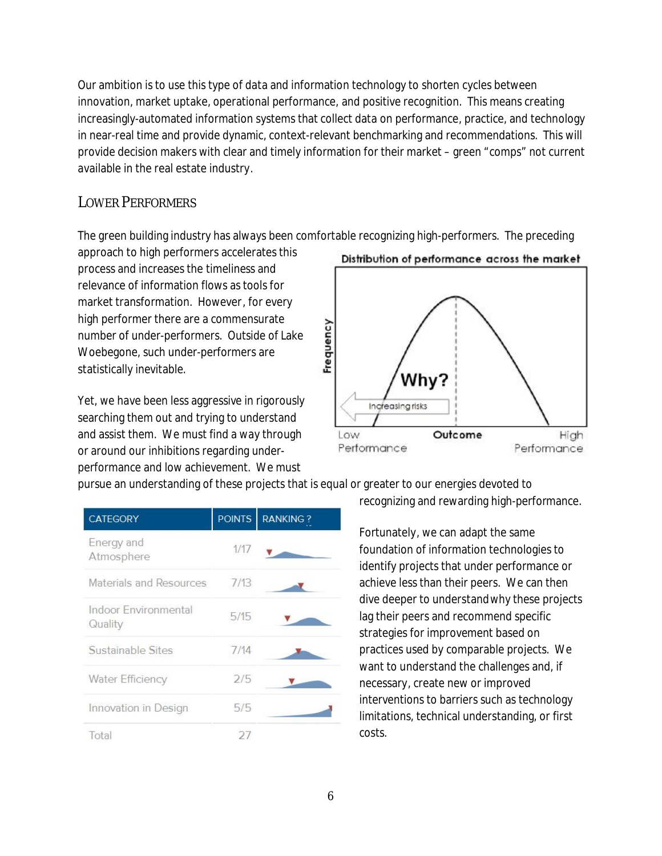Our ambition is to use this type of data and information technology to shorten cycles between innovation, market uptake, operational performance, and positive recognition. This means creating increasingly-automated information systems that collect data on performance, practice, and technology in near-real time and provide dynamic, context-relevant benchmarking and recommendations. This will provide decision makers with clear and timely information for their market – green "comps" not current available in the real estate industry.

### LOWER PERFORMERS

The green building industry has always been comfortable recognizing high-performers. The preceding

approach to high performers accelerates this process and increases the timeliness and relevance of information flows as tools for market transformation. However, for every high performer there are a commensurate number of under-performers. Outside of Lake Woebegone, such under-performers are statistically inevitable.

Yet, we have been less aggressive in rigorously searching them out and trying to understand and assist them. We must find a way through or around our inhibitions regarding underperformance and low achievement. We must



| pursue an understanding of these projects that is equal or greater to our energies devoted to |  |  |
|-----------------------------------------------------------------------------------------------|--|--|
|                                                                                               |  |  |

| <b>CATEGORY</b>                 | <b>POINTS</b> | <b>RANKING?</b> |
|---------------------------------|---------------|-----------------|
| Energy and<br>Atmosphere        | 1/17          |                 |
| Materials and Resources         | 7/13          |                 |
| Indoor Environmental<br>Quality | 5/15          |                 |
| Sustainable Sites               | 7/14          |                 |
| <b>Water Efficiency</b>         | 2/5           |                 |
| Innovation in Design            | 5/5           |                 |
| Total                           | 27            |                 |

recognizing and rewarding high-performance.

Fortunately, we can adapt the same foundation of information technologies to identify projects that under performance or achieve less than their peers. We can then dive deeper to understand *why* these projects lag their peers and recommend specific strategies for improvement based on practices used by comparable projects. We want to understand the challenges and, if necessary, create new or improved interventions to barriers such as technology limitations, technical understanding, or first costs.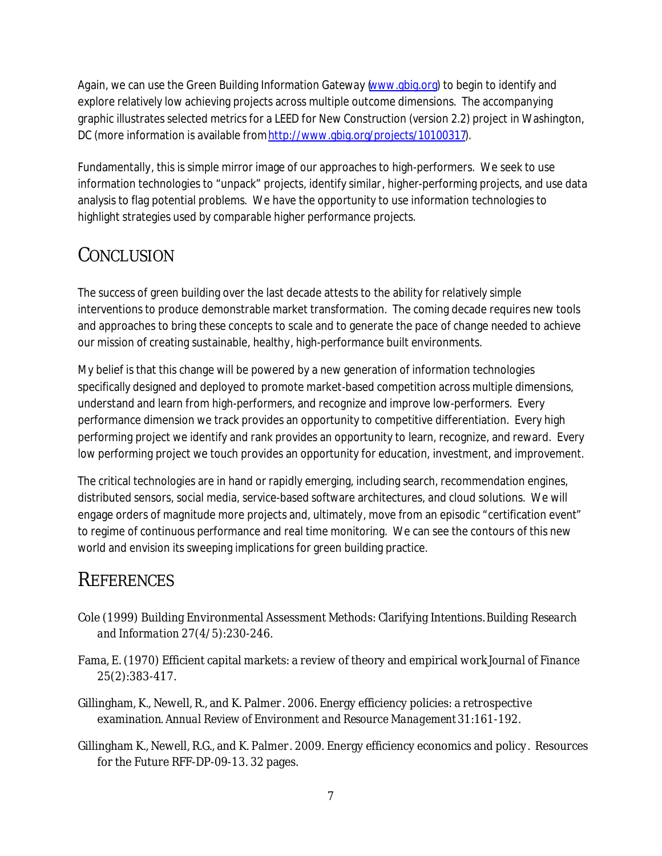Again, we can use the Green Building Information Gateway [\(www.gbig.org](http://www.gbig.org)) to begin to identify and explore relatively low achieving projects across multiple outcome dimensions. The accompanying graphic illustrates selected metrics for a LEED for New Construction (version 2.2) project in Washington, DC (more information is available from<http://www.gbig.org/projects/10100317>).

Fundamentally, this is simple mirror image of our approaches to high-performers. We seek to use information technologies to "unpack" projects, identify similar, higher-performing projects, and use data analysis to flag potential problems. We have the opportunity to use information technologies to highlight strategies used by comparable higher performance projects.

# **CONCLUSION**

The success of green building over the last decade attests to the ability for relatively simple interventions to produce demonstrable market transformation. The coming decade requires new tools and approaches to bring these concepts to scale and to generate the pace of change needed to achieve our mission of creating sustainable, healthy, high-performance built environments.

My belief is that this change will be powered by a new generation of information technologies specifically designed and deployed to promote market-based competition across multiple dimensions, understand and learn from high-performers, and recognize and improve low-performers. Every performance dimension we track provides an opportunity to competitive differentiation. Every high performing project we identify and rank provides an opportunity to learn, recognize, and reward. Every low performing project we touch provides an opportunity for education, investment, and improvement.

The critical technologies are in hand or rapidly emerging, including search, recommendation engines, distributed sensors, social media, service-based software architectures, and cloud solutions. We will engage orders of magnitude more projects and, ultimately, move from an episodic "certification event" to regime of continuous performance and real time monitoring. We can see the contours of this new world and envision its sweeping implications for green building practice.

### **REFERENCES**

- Cole (1999) Building Environmental Assessment Methods: Clarifying Intentions. *Building Research and Information* 27(4/5):230-246.
- Fama, E. (1970) Efficient capital markets: a review of theory and empirical work*. Journal of Finance* 25(2):383-417.
- Gillingham, K., Newell, R., and K. Palmer. 2006. Energy efficiency policies: a retrospective examination*. Annual Review of Environment and Resource Management* 31:161-192.
- Gillingham K., Newell, R.G., and K. Palmer. 2009. Energy efficiency economics and policy. Resources for the Future RFF-DP-09-13. 32 pages.